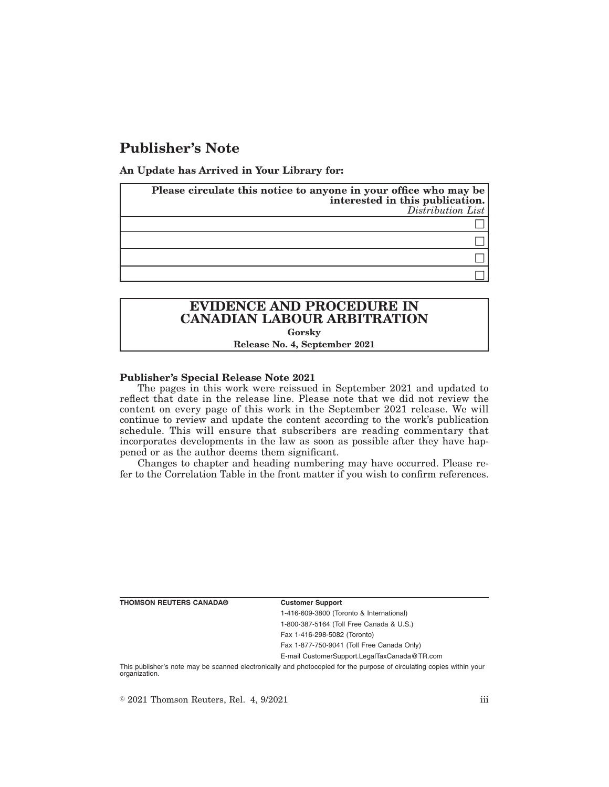# **Publisher's Note**

**An Update has Arrived in Your Library for:**

| Please circulate this notice to anyone in your office who may be<br>interested in this publication.<br>Distribution List |
|--------------------------------------------------------------------------------------------------------------------------|
|                                                                                                                          |
|                                                                                                                          |
|                                                                                                                          |
|                                                                                                                          |

## **EVIDENCE AND PROCEDURE IN CANADIAN LABOUR ARBITRATION Gorsky**

**Release No. 4, September 2021**

### **Publisher's Special Release Note 2021**

The pages in this work were reissued in September 2021 and updated to reflect that date in the release line. Please note that we did not review the content on every page of this work in the September 2021 release. We will continue to review and update the content according to the work's publication schedule. This will ensure that subscribers are reading commentary that incorporates developments in the law as soon as possible after they have happened or as the author deems them significant.

Changes to chapter and heading numbering may have occurred. Please refer to the Correlation Table in the front matter if you wish to confirm references.

**THOMSON REUTERS CANADA® Customer Support**

1-416-609-3800 (Toronto & International) 1-800-387-5164 (Toll Free Canada & U.S.) Fax 1-416-298-5082 (Toronto)

Fax 1-877-750-9041 (Toll Free Canada Only)

E-mail CustomerSupport.LegalTaxCanada@TR.com

This publisher's note may be scanned electronically and photocopied for the purpose of circulating copies within your organization.

 $\degree$  2021 Thomson Reuters, Rel. 4, 9/2021 iii